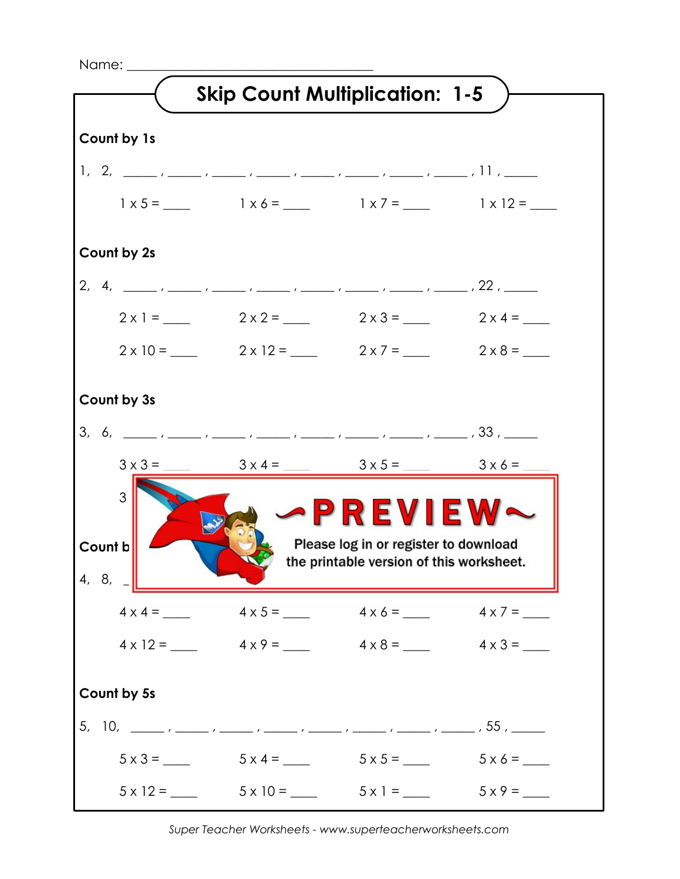Name: \_\_\_\_\_\_\_\_\_\_\_\_\_\_\_\_\_\_\_\_\_\_\_\_\_\_\_\_\_\_\_\_\_\_\_\_\_



*Super Teacher Worksheets - www.superteacherworksheets.com*